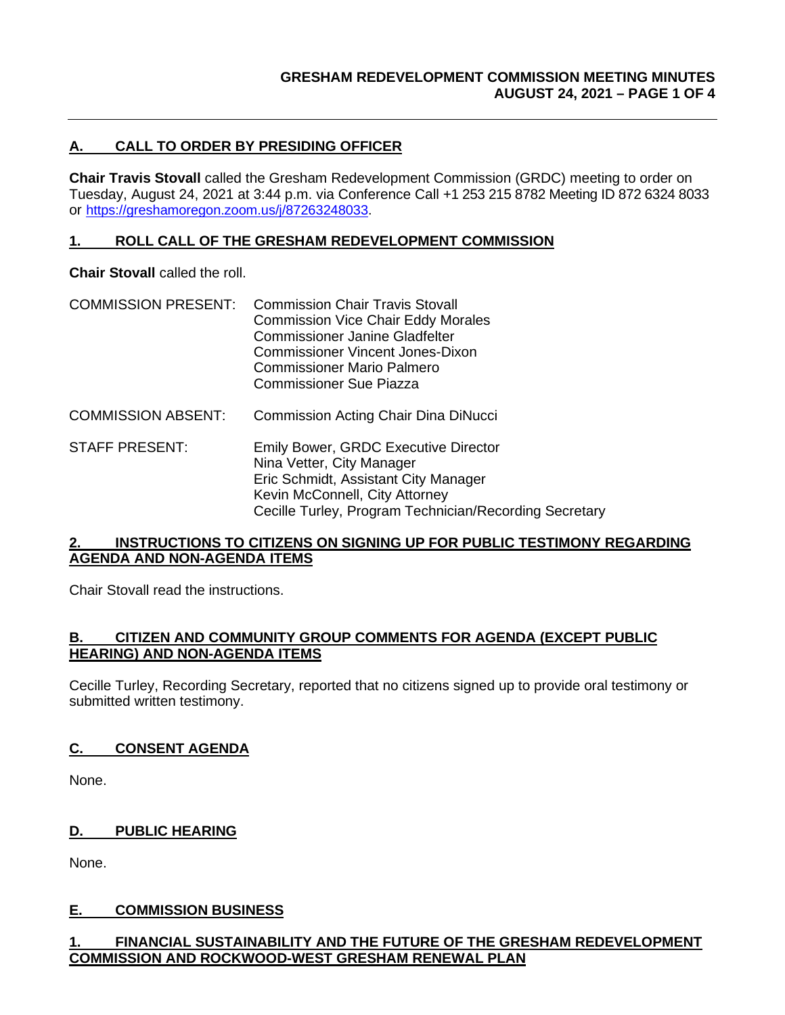# **A. CALL TO ORDER BY PRESIDING OFFICER**

**Chair Travis Stovall** called the Gresham Redevelopment Commission (GRDC) meeting to order on Tuesday, August 24, 2021 at 3:44 p.m. via Conference Call +1 253 215 8782 Meeting ID 872 6324 8033 or [https://greshamoregon.zoom.us/j/87263248033.](https://greshamoregon.zoom.us/j/87263248033)

#### **1. ROLL CALL OF THE GRESHAM REDEVELOPMENT COMMISSION**

**Chair Stovall** called the roll.

- COMMISSION PRESENT: Commission Chair Travis Stovall Commission Vice Chair Eddy Morales Commissioner Janine Gladfelter Commissioner Vincent Jones-Dixon Commissioner Mario Palmero Commissioner Sue Piazza
- COMMISSION ABSENT: Commission Acting Chair Dina DiNucci
- STAFF PRESENT: Emily Bower, GRDC Executive Director Nina Vetter, City Manager Eric Schmidt, Assistant City Manager Kevin McConnell, City Attorney Cecille Turley, Program Technician/Recording Secretary

#### **2. INSTRUCTIONS TO CITIZENS ON SIGNING UP FOR PUBLIC TESTIMONY REGARDING AGENDA AND NON-AGENDA ITEMS**

Chair Stovall read the instructions.

#### **B. CITIZEN AND COMMUNITY GROUP COMMENTS FOR AGENDA (EXCEPT PUBLIC HEARING) AND NON-AGENDA ITEMS**

Cecille Turley, Recording Secretary, reported that no citizens signed up to provide oral testimony or submitted written testimony.

## **C. CONSENT AGENDA**

None.

**D. PUBLIC HEARING**

None.

## **E. COMMISSION BUSINESS**

## **1. FINANCIAL SUSTAINABILITY AND THE FUTURE OF THE GRESHAM REDEVELOPMENT COMMISSION AND ROCKWOOD-WEST GRESHAM RENEWAL PLAN**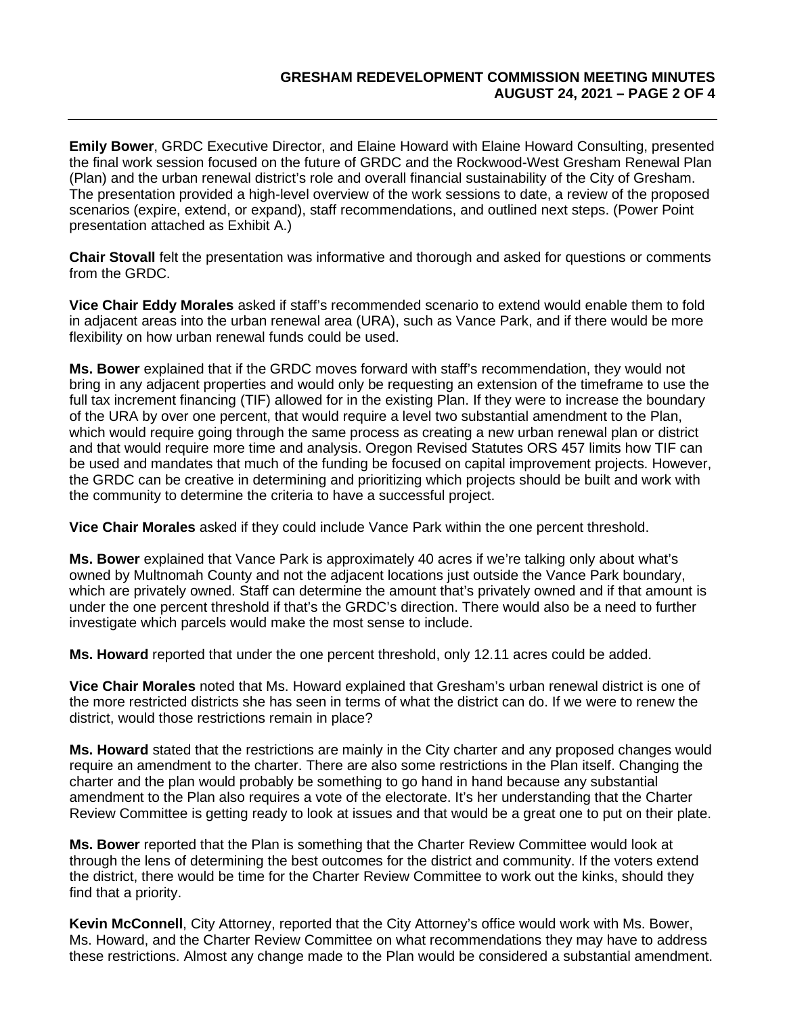**Emily Bower**, GRDC Executive Director, and Elaine Howard with Elaine Howard Consulting, presented the final work session focused on the future of GRDC and the Rockwood-West Gresham Renewal Plan (Plan) and the urban renewal district's role and overall financial sustainability of the City of Gresham. The presentation provided a high-level overview of the work sessions to date, a review of the proposed scenarios (expire, extend, or expand), staff recommendations, and outlined next steps. (Power Point presentation attached as Exhibit A.)

**Chair Stovall** felt the presentation was informative and thorough and asked for questions or comments from the GRDC.

**Vice Chair Eddy Morales** asked if staff's recommended scenario to extend would enable them to fold in adjacent areas into the urban renewal area (URA), such as Vance Park, and if there would be more flexibility on how urban renewal funds could be used.

**Ms. Bower** explained that if the GRDC moves forward with staff's recommendation, they would not bring in any adjacent properties and would only be requesting an extension of the timeframe to use the full tax increment financing (TIF) allowed for in the existing Plan. If they were to increase the boundary of the URA by over one percent, that would require a level two substantial amendment to the Plan, which would require going through the same process as creating a new urban renewal plan or district and that would require more time and analysis. Oregon Revised Statutes ORS 457 limits how TIF can be used and mandates that much of the funding be focused on capital improvement projects. However, the GRDC can be creative in determining and prioritizing which projects should be built and work with the community to determine the criteria to have a successful project.

**Vice Chair Morales** asked if they could include Vance Park within the one percent threshold.

**Ms. Bower** explained that Vance Park is approximately 40 acres if we're talking only about what's owned by Multnomah County and not the adjacent locations just outside the Vance Park boundary, which are privately owned. Staff can determine the amount that's privately owned and if that amount is under the one percent threshold if that's the GRDC's direction. There would also be a need to further investigate which parcels would make the most sense to include.

**Ms. Howard** reported that under the one percent threshold, only 12.11 acres could be added.

**Vice Chair Morales** noted that Ms. Howard explained that Gresham's urban renewal district is one of the more restricted districts she has seen in terms of what the district can do. If we were to renew the district, would those restrictions remain in place?

**Ms. Howard** stated that the restrictions are mainly in the City charter and any proposed changes would require an amendment to the charter. There are also some restrictions in the Plan itself. Changing the charter and the plan would probably be something to go hand in hand because any substantial amendment to the Plan also requires a vote of the electorate. It's her understanding that the Charter Review Committee is getting ready to look at issues and that would be a great one to put on their plate.

**Ms. Bower** reported that the Plan is something that the Charter Review Committee would look at through the lens of determining the best outcomes for the district and community. If the voters extend the district, there would be time for the Charter Review Committee to work out the kinks, should they find that a priority.

**Kevin McConnell**, City Attorney, reported that the City Attorney's office would work with Ms. Bower, Ms. Howard, and the Charter Review Committee on what recommendations they may have to address these restrictions. Almost any change made to the Plan would be considered a substantial amendment.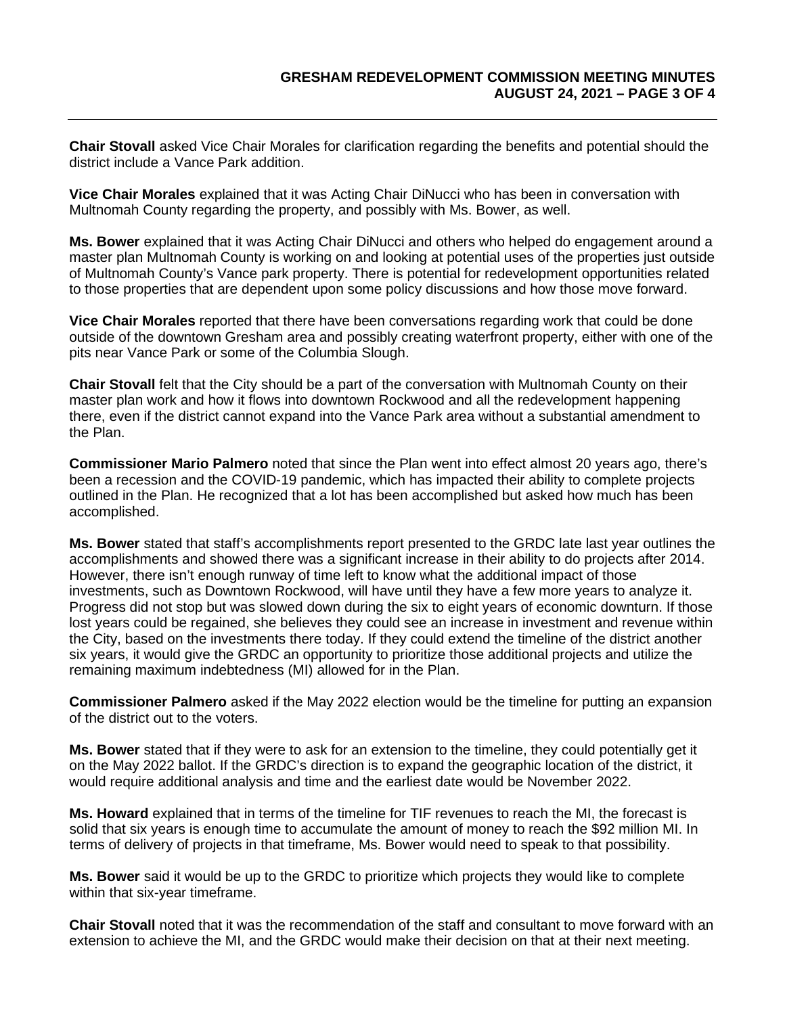**Chair Stovall** asked Vice Chair Morales for clarification regarding the benefits and potential should the district include a Vance Park addition.

**Vice Chair Morales** explained that it was Acting Chair DiNucci who has been in conversation with Multnomah County regarding the property, and possibly with Ms. Bower, as well.

**Ms. Bower** explained that it was Acting Chair DiNucci and others who helped do engagement around a master plan Multnomah County is working on and looking at potential uses of the properties just outside of Multnomah County's Vance park property. There is potential for redevelopment opportunities related to those properties that are dependent upon some policy discussions and how those move forward.

**Vice Chair Morales** reported that there have been conversations regarding work that could be done outside of the downtown Gresham area and possibly creating waterfront property, either with one of the pits near Vance Park or some of the Columbia Slough.

**Chair Stovall** felt that the City should be a part of the conversation with Multnomah County on their master plan work and how it flows into downtown Rockwood and all the redevelopment happening there, even if the district cannot expand into the Vance Park area without a substantial amendment to the Plan.

**Commissioner Mario Palmero** noted that since the Plan went into effect almost 20 years ago, there's been a recession and the COVID-19 pandemic, which has impacted their ability to complete projects outlined in the Plan. He recognized that a lot has been accomplished but asked how much has been accomplished.

**Ms. Bower** stated that staff's accomplishments report presented to the GRDC late last year outlines the accomplishments and showed there was a significant increase in their ability to do projects after 2014. However, there isn't enough runway of time left to know what the additional impact of those investments, such as Downtown Rockwood, will have until they have a few more years to analyze it. Progress did not stop but was slowed down during the six to eight years of economic downturn. If those lost years could be regained, she believes they could see an increase in investment and revenue within the City, based on the investments there today. If they could extend the timeline of the district another six years, it would give the GRDC an opportunity to prioritize those additional projects and utilize the remaining maximum indebtedness (MI) allowed for in the Plan.

**Commissioner Palmero** asked if the May 2022 election would be the timeline for putting an expansion of the district out to the voters.

**Ms. Bower** stated that if they were to ask for an extension to the timeline, they could potentially get it on the May 2022 ballot. If the GRDC's direction is to expand the geographic location of the district, it would require additional analysis and time and the earliest date would be November 2022.

**Ms. Howard** explained that in terms of the timeline for TIF revenues to reach the MI, the forecast is solid that six years is enough time to accumulate the amount of money to reach the \$92 million MI. In terms of delivery of projects in that timeframe, Ms. Bower would need to speak to that possibility.

**Ms. Bower** said it would be up to the GRDC to prioritize which projects they would like to complete within that six-year timeframe.

**Chair Stovall** noted that it was the recommendation of the staff and consultant to move forward with an extension to achieve the MI, and the GRDC would make their decision on that at their next meeting.